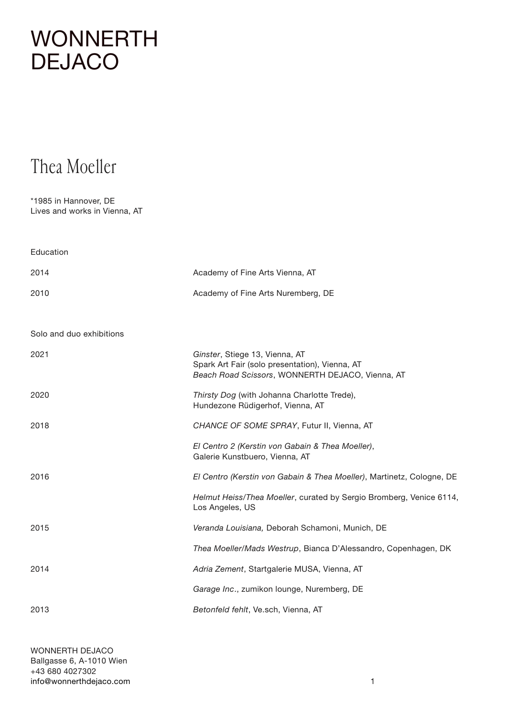#### Thea Moeller

\*1985 in Hannover, DE Lives and works in Vienna, AT

| Education                |                                                                                                                                      |
|--------------------------|--------------------------------------------------------------------------------------------------------------------------------------|
| 2014                     | Academy of Fine Arts Vienna, AT                                                                                                      |
| 2010                     | Academy of Fine Arts Nuremberg, DE                                                                                                   |
|                          |                                                                                                                                      |
| Solo and duo exhibitions |                                                                                                                                      |
| 2021                     | Ginster, Stiege 13, Vienna, AT<br>Spark Art Fair (solo presentation), Vienna, AT<br>Beach Road Scissors, WONNERTH DEJACO, Vienna, AT |
| 2020                     | Thirsty Dog (with Johanna Charlotte Trede),<br>Hundezone Rüdigerhof, Vienna, AT                                                      |
| 2018                     | CHANCE OF SOME SPRAY, Futur II, Vienna, AT                                                                                           |
|                          | El Centro 2 (Kerstin von Gabain & Thea Moeller),<br>Galerie Kunstbuero, Vienna, AT                                                   |
| 2016                     | El Centro (Kerstin von Gabain & Thea Moeller), Martinetz, Cologne, DE                                                                |
|                          | Helmut Heiss/Thea Moeller, curated by Sergio Bromberg, Venice 6114,<br>Los Angeles, US                                               |
| 2015                     | Veranda Louisiana, Deborah Schamoni, Munich, DE                                                                                      |
|                          | Thea Moeller/Mads Westrup, Bianca D'Alessandro, Copenhagen, DK                                                                       |
| 2014                     | Adria Zement, Startgalerie MUSA, Vienna, AT                                                                                          |
|                          | Garage Inc., zumikon lounge, Nuremberg, DE                                                                                           |
| 2013                     | Betonfeld fehlt, Ve.sch, Vienna, AT                                                                                                  |

WONNERTH DEJACO Ballgasse 6, A-1010 Wien +43 680 4027302 [info@wonnerthdejaco.com](mailto:info%40wonnerthdejaco.com?subject=)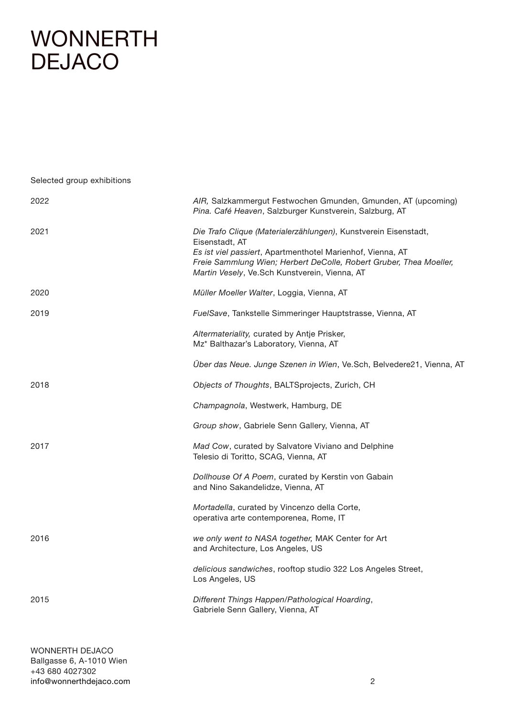| Selected group exhibitions |                                                                                                                                                                                                                                                                        |
|----------------------------|------------------------------------------------------------------------------------------------------------------------------------------------------------------------------------------------------------------------------------------------------------------------|
| 2022                       | AIR, Salzkammergut Festwochen Gmunden, Gmunden, AT (upcoming)<br>Pina. Café Heaven, Salzburger Kunstverein, Salzburg, AT                                                                                                                                               |
| 2021                       | Die Trafo Clique (Materialerzählungen), Kunstverein Eisenstadt,<br>Eisenstadt, AT<br>Es ist viel passiert, Apartmenthotel Marienhof, Vienna, AT<br>Freie Sammlung Wien; Herbert DeColle, Robert Gruber, Thea Moeller,<br>Martin Vesely, Ve.Sch Kunstverein, Vienna, AT |
| 2020                       | Müller Moeller Walter, Loggia, Vienna, AT                                                                                                                                                                                                                              |
| 2019                       | FuelSave, Tankstelle Simmeringer Hauptstrasse, Vienna, AT                                                                                                                                                                                                              |
|                            | Altermateriality, curated by Antje Prisker,<br>Mz* Balthazar's Laboratory, Vienna, AT                                                                                                                                                                                  |
|                            | Über das Neue. Junge Szenen in Wien, Ve.Sch, Belvedere21, Vienna, AT                                                                                                                                                                                                   |
| 2018                       | Objects of Thoughts, BALTSprojects, Zurich, CH                                                                                                                                                                                                                         |
|                            | Champagnola, Westwerk, Hamburg, DE                                                                                                                                                                                                                                     |
|                            | Group show, Gabriele Senn Gallery, Vienna, AT                                                                                                                                                                                                                          |
| 2017                       | Mad Cow, curated by Salvatore Viviano and Delphine<br>Telesio di Toritto, SCAG, Vienna, AT                                                                                                                                                                             |
|                            | Dollhouse Of A Poem, curated by Kerstin von Gabain<br>and Nino Sakandelidze, Vienna, AT                                                                                                                                                                                |
|                            | Mortadella, curated by Vincenzo della Corte,<br>operativa arte contemporenea, Rome, IT                                                                                                                                                                                 |
| 2016                       | we only went to NASA together, MAK Center for Art<br>and Architecture, Los Angeles, US                                                                                                                                                                                 |
|                            | delicious sandwiches, rooftop studio 322 Los Angeles Street,<br>Los Angeles, US                                                                                                                                                                                        |
| 2015                       | Different Things Happen/Pathological Hoarding,<br>Gabriele Senn Gallery, Vienna, AT                                                                                                                                                                                    |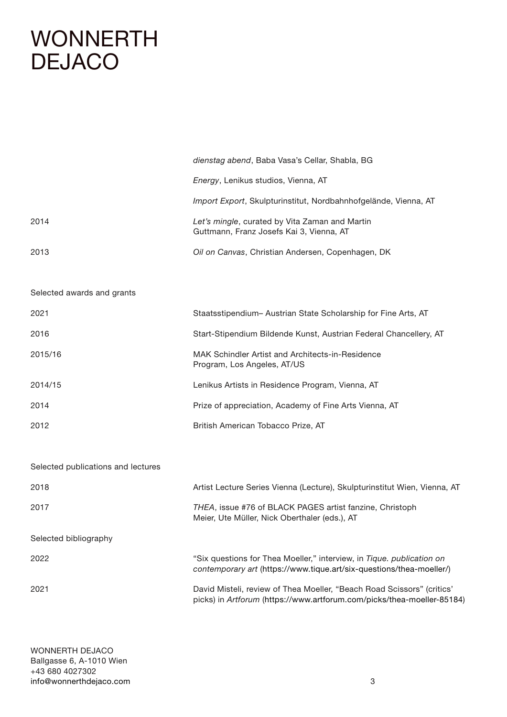|      | dienstag abend, Baba Vasa's Cellar, Shabla, BG                                             |
|------|--------------------------------------------------------------------------------------------|
|      | <i>Energy</i> , Lenikus studios, Vienna, AT                                                |
|      | Import Export, Skulpturinstitut, Nordbahnhofgelände, Vienna, AT                            |
| 2014 | Let's mingle, curated by Vita Zaman and Martin<br>Guttmann, Franz Josefs Kai 3, Vienna, AT |
| 2013 | Oil on Canvas, Christian Andersen, Copenhagen, DK                                          |

Selected awards and grants

| 2021    | Staatsstipendium - Austrian State Scholarship for Fine Arts, AT                 |
|---------|---------------------------------------------------------------------------------|
| 2016    | Start-Stipendium Bildende Kunst, Austrian Federal Chancellery, AT               |
| 2015/16 | MAK Schindler Artist and Architects-in-Residence<br>Program, Los Angeles, AT/US |
| 2014/15 | Lenikus Artists in Residence Program, Vienna, AT                                |
| 2014    | Prize of appreciation, Academy of Fine Arts Vienna, AT                          |
| 2012    | British American Tobacco Prize, AT                                              |

Selected publications and lectures

| 2018                  | Artist Lecture Series Vienna (Lecture), Skulpturinstitut Wien, Vienna, AT                                                                        |
|-----------------------|--------------------------------------------------------------------------------------------------------------------------------------------------|
| 2017                  | THEA, issue #76 of BLACK PAGES artist fanzine, Christoph<br>Meier, Ute Müller, Nick Oberthaler (eds.), AT                                        |
| Selected bibliography |                                                                                                                                                  |
| 2022                  | "Six questions for Thea Moeller," interview, in Tique. publication on<br>contemporary art (https://www.tique.art/six-questions/thea-moeller/)    |
| 2021                  | David Misteli, review of Thea Moeller, "Beach Road Scissors" (critics'<br>picks) in Artforum (https://www.artforum.com/picks/thea-moeller-85184) |